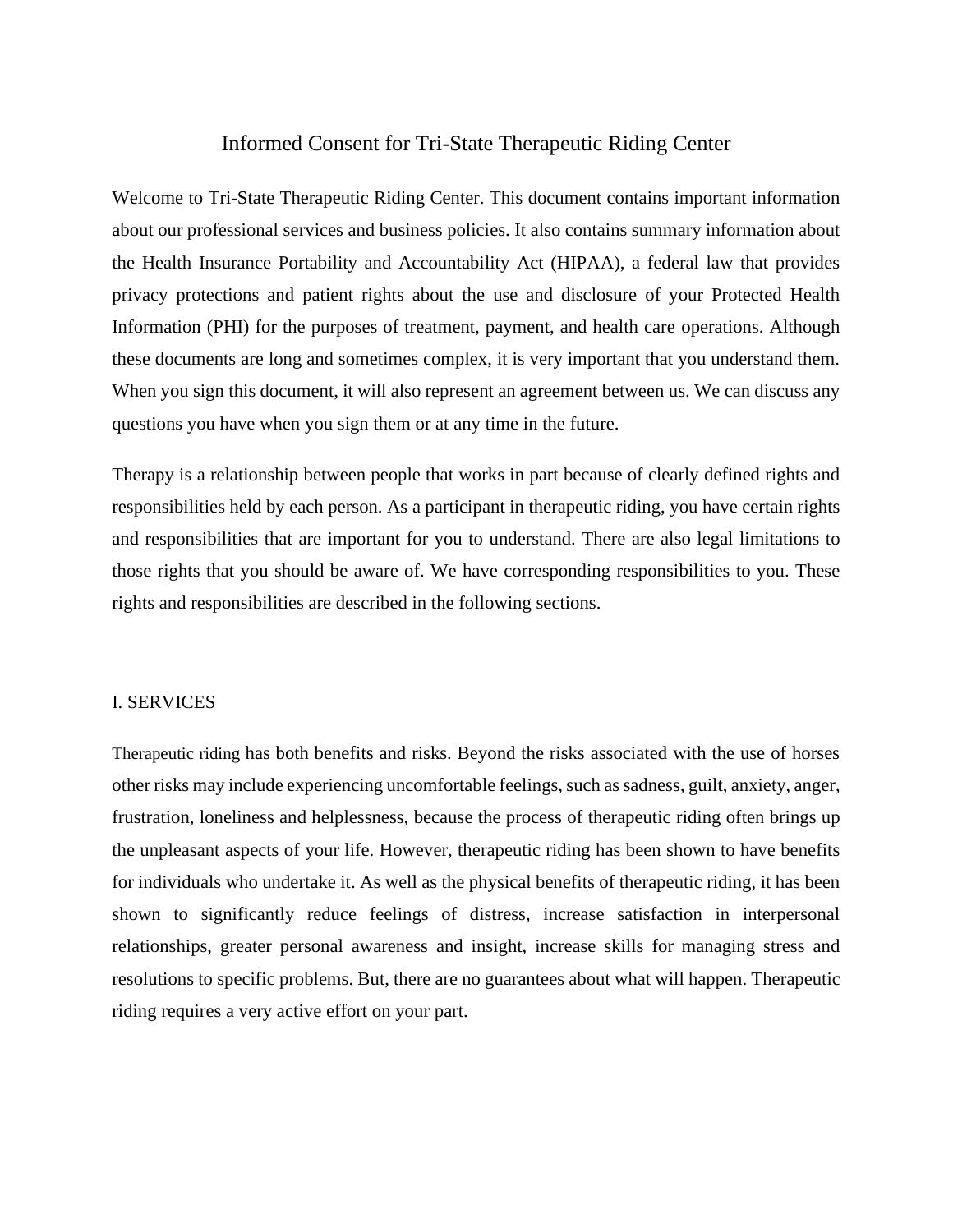# Informed Consent for Tri-State Therapeutic Riding Center

Welcome to Tri-State Therapeutic Riding Center. This document contains important information about our professional services and business policies. It also contains summary information about the Health Insurance Portability and Accountability Act (HIPAA), a federal law that provides privacy protections and patient rights about the use and disclosure of your Protected Health Information (PHI) for the purposes of treatment, payment, and health care operations. Although these documents are long and sometimes complex, it is very important that you understand them. When you sign this document, it will also represent an agreement between us. We can discuss any questions you have when you sign them or at any time in the future.

Therapy is a relationship between people that works in part because of clearly defined rights and responsibilities held by each person. As a participant in therapeutic riding, you have certain rights and responsibilities that are important for you to understand. There are also legal limitations to those rights that you should be aware of. We have corresponding responsibilities to you. These rights and responsibilities are described in the following sections.

## I. SERVICES

Therapeutic riding has both benefits and risks. Beyond the risks associated with the use of horses other risks may include experiencing uncomfortable feelings, such as sadness, guilt, anxiety, anger, frustration, loneliness and helplessness, because the process of therapeutic riding often brings up the unpleasant aspects of your life. However, therapeutic riding has been shown to have benefits for individuals who undertake it. As well as the physical benefits of therapeutic riding, it has been shown to significantly reduce feelings of distress, increase satisfaction in interpersonal relationships, greater personal awareness and insight, increase skills for managing stress and resolutions to specific problems. But, there are no guarantees about what will happen. Therapeutic riding requires a very active effort on your part.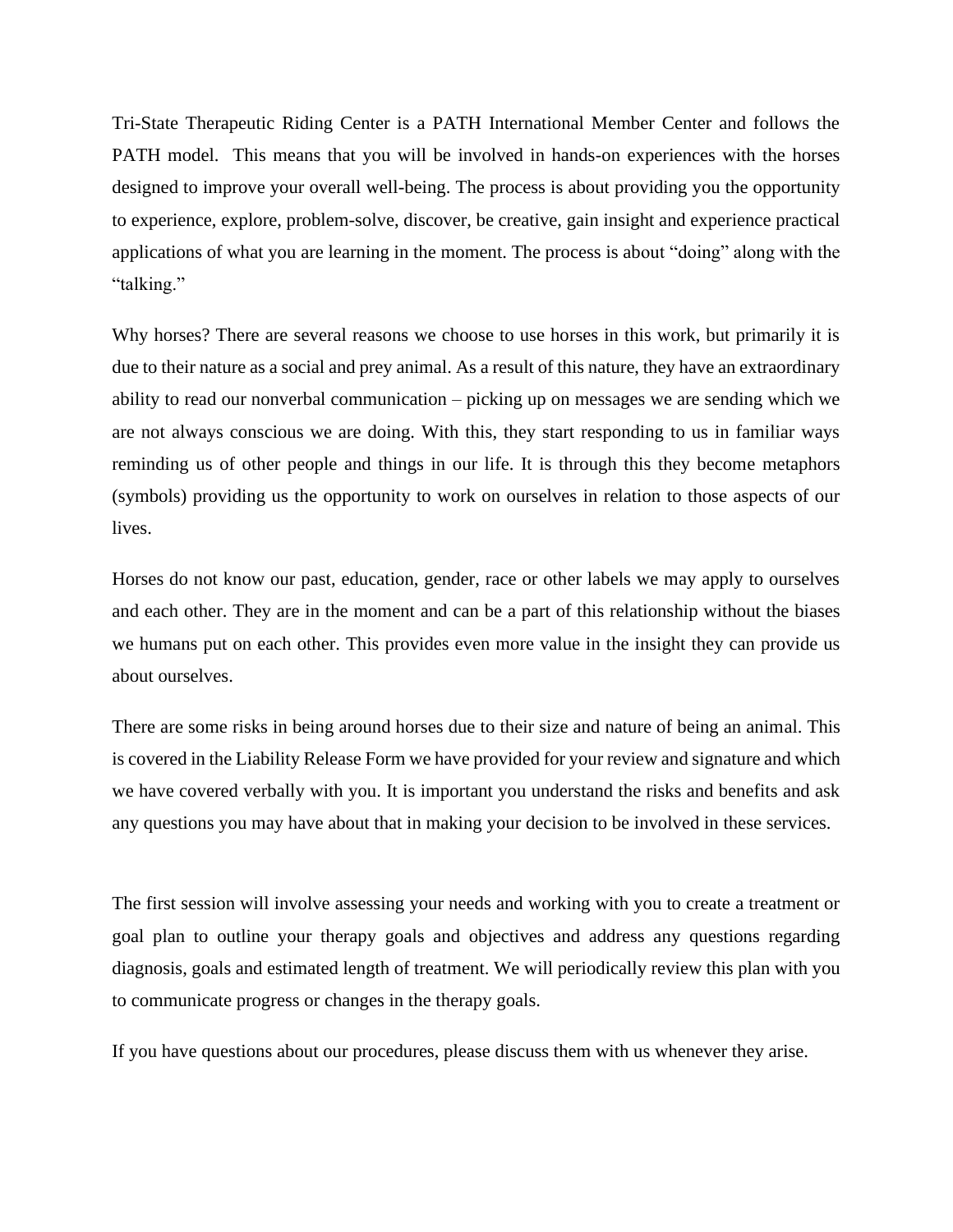Tri-State Therapeutic Riding Center is a PATH International Member Center and follows the PATH model. This means that you will be involved in hands-on experiences with the horses designed to improve your overall well-being. The process is about providing you the opportunity to experience, explore, problem-solve, discover, be creative, gain insight and experience practical applications of what you are learning in the moment. The process is about "doing" along with the "talking."

Why horses? There are several reasons we choose to use horses in this work, but primarily it is due to their nature as a social and prey animal. As a result of this nature, they have an extraordinary ability to read our nonverbal communication – picking up on messages we are sending which we are not always conscious we are doing. With this, they start responding to us in familiar ways reminding us of other people and things in our life. It is through this they become metaphors (symbols) providing us the opportunity to work on ourselves in relation to those aspects of our lives.

Horses do not know our past, education, gender, race or other labels we may apply to ourselves and each other. They are in the moment and can be a part of this relationship without the biases we humans put on each other. This provides even more value in the insight they can provide us about ourselves.

There are some risks in being around horses due to their size and nature of being an animal. This is covered in the Liability Release Form we have provided for your review and signature and which we have covered verbally with you. It is important you understand the risks and benefits and ask any questions you may have about that in making your decision to be involved in these services.

The first session will involve assessing your needs and working with you to create a treatment or goal plan to outline your therapy goals and objectives and address any questions regarding diagnosis, goals and estimated length of treatment. We will periodically review this plan with you to communicate progress or changes in the therapy goals.

If you have questions about our procedures, please discuss them with us whenever they arise.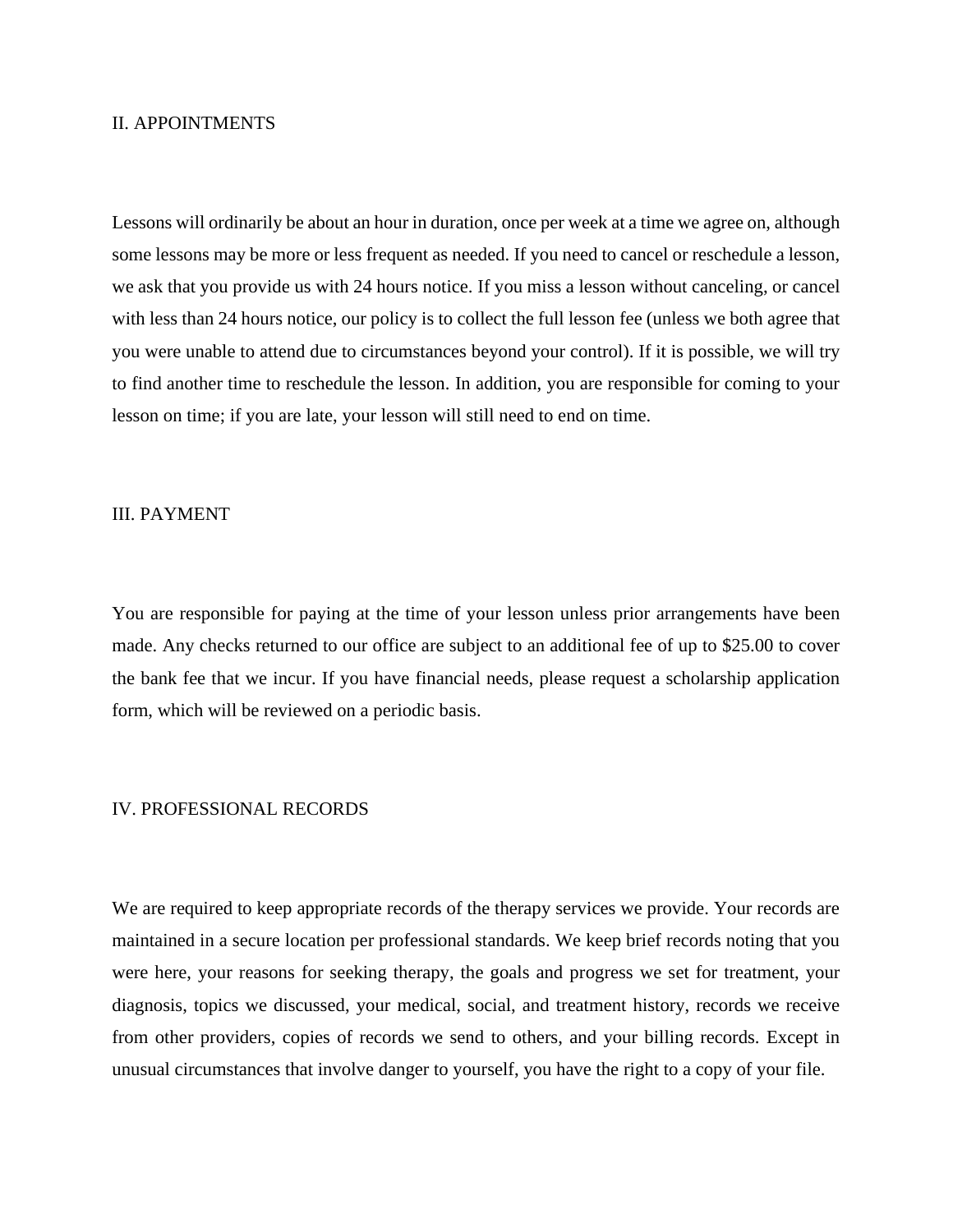#### II. APPOINTMENTS

Lessons will ordinarily be about an hour in duration, once per week at a time we agree on, although some lessons may be more or less frequent as needed. If you need to cancel or reschedule a lesson, we ask that you provide us with 24 hours notice. If you miss a lesson without canceling, or cancel with less than 24 hours notice, our policy is to collect the full lesson fee (unless we both agree that you were unable to attend due to circumstances beyond your control). If it is possible, we will try to find another time to reschedule the lesson. In addition, you are responsible for coming to your lesson on time; if you are late, your lesson will still need to end on time.

## III. PAYMENT

You are responsible for paying at the time of your lesson unless prior arrangements have been made. Any checks returned to our office are subject to an additional fee of up to \$25.00 to cover the bank fee that we incur. If you have financial needs, please request a scholarship application form, which will be reviewed on a periodic basis.

#### IV. PROFESSIONAL RECORDS

We are required to keep appropriate records of the therapy services we provide. Your records are maintained in a secure location per professional standards. We keep brief records noting that you were here, your reasons for seeking therapy, the goals and progress we set for treatment, your diagnosis, topics we discussed, your medical, social, and treatment history, records we receive from other providers, copies of records we send to others, and your billing records. Except in unusual circumstances that involve danger to yourself, you have the right to a copy of your file.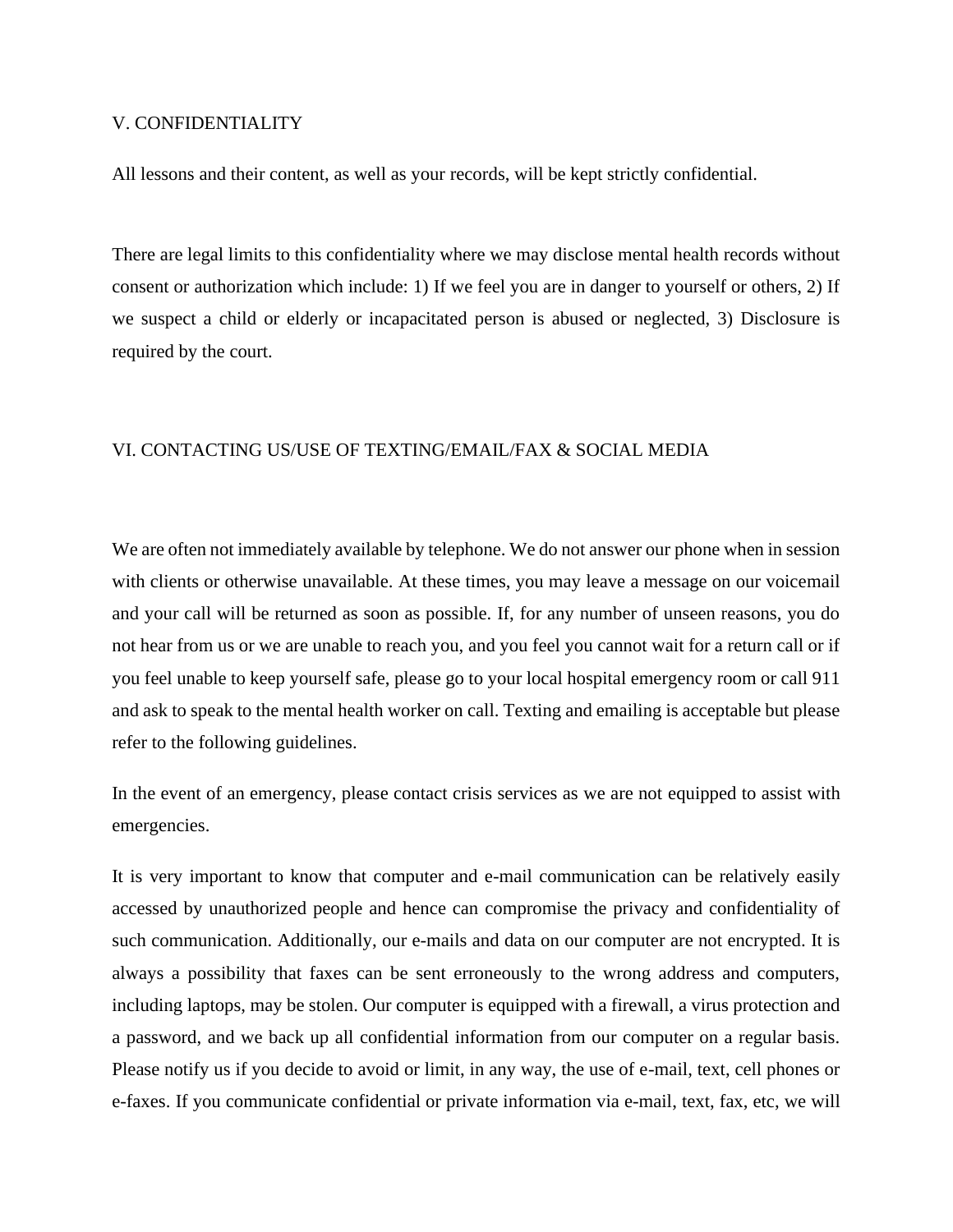#### V. CONFIDENTIALITY

All lessons and their content, as well as your records, will be kept strictly confidential.

There are legal limits to this confidentiality where we may disclose mental health records without consent or authorization which include: 1) If we feel you are in danger to yourself or others, 2) If we suspect a child or elderly or incapacitated person is abused or neglected, 3) Disclosure is required by the court.

#### VI. CONTACTING US/USE OF TEXTING/EMAIL/FAX & SOCIAL MEDIA

We are often not immediately available by telephone. We do not answer our phone when in session with clients or otherwise unavailable. At these times, you may leave a message on our voicemail and your call will be returned as soon as possible. If, for any number of unseen reasons, you do not hear from us or we are unable to reach you, and you feel you cannot wait for a return call or if you feel unable to keep yourself safe, please go to your local hospital emergency room or call 911 and ask to speak to the mental health worker on call. Texting and emailing is acceptable but please refer to the following guidelines.

In the event of an emergency, please contact crisis services as we are not equipped to assist with emergencies.

It is very important to know that computer and e-mail communication can be relatively easily accessed by unauthorized people and hence can compromise the privacy and confidentiality of such communication. Additionally, our e-mails and data on our computer are not encrypted. It is always a possibility that faxes can be sent erroneously to the wrong address and computers, including laptops, may be stolen. Our computer is equipped with a firewall, a virus protection and a password, and we back up all confidential information from our computer on a regular basis. Please notify us if you decide to avoid or limit, in any way, the use of e-mail, text, cell phones or e-faxes. If you communicate confidential or private information via e-mail, text, fax, etc, we will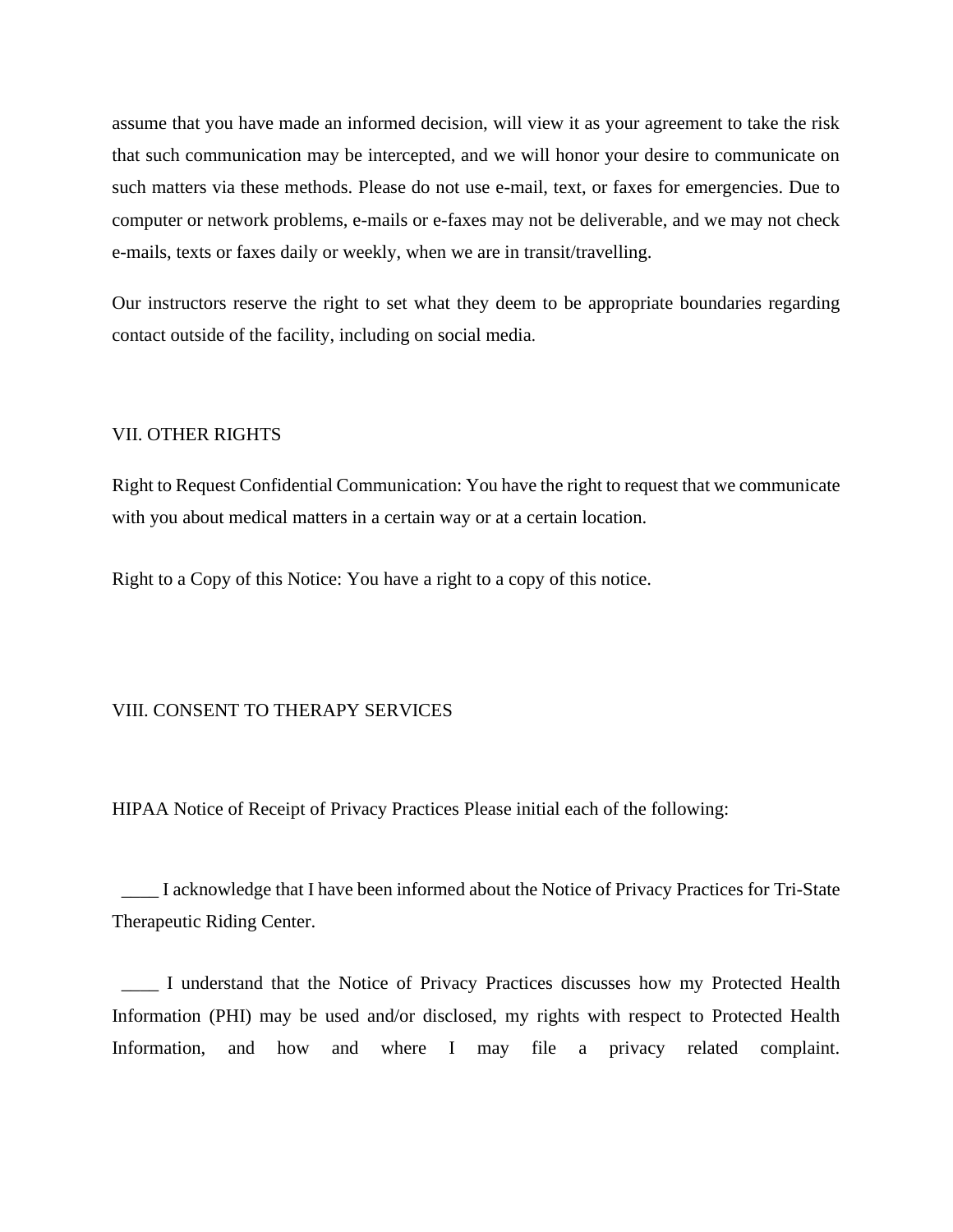assume that you have made an informed decision, will view it as your agreement to take the risk that such communication may be intercepted, and we will honor your desire to communicate on such matters via these methods. Please do not use e-mail, text, or faxes for emergencies. Due to computer or network problems, e-mails or e-faxes may not be deliverable, and we may not check e-mails, texts or faxes daily or weekly, when we are in transit/travelling.

Our instructors reserve the right to set what they deem to be appropriate boundaries regarding contact outside of the facility, including on social media.

#### VII. OTHER RIGHTS

Right to Request Confidential Communication: You have the right to request that we communicate with you about medical matters in a certain way or at a certain location.

Right to a Copy of this Notice: You have a right to a copy of this notice.

## VIII. CONSENT TO THERAPY SERVICES

HIPAA Notice of Receipt of Privacy Practices Please initial each of the following:

 \_\_\_\_ I acknowledge that I have been informed about the Notice of Privacy Practices for Tri-State Therapeutic Riding Center.

 \_\_\_\_ I understand that the Notice of Privacy Practices discusses how my Protected Health Information (PHI) may be used and/or disclosed, my rights with respect to Protected Health Information, and how and where I may file a privacy related complaint.